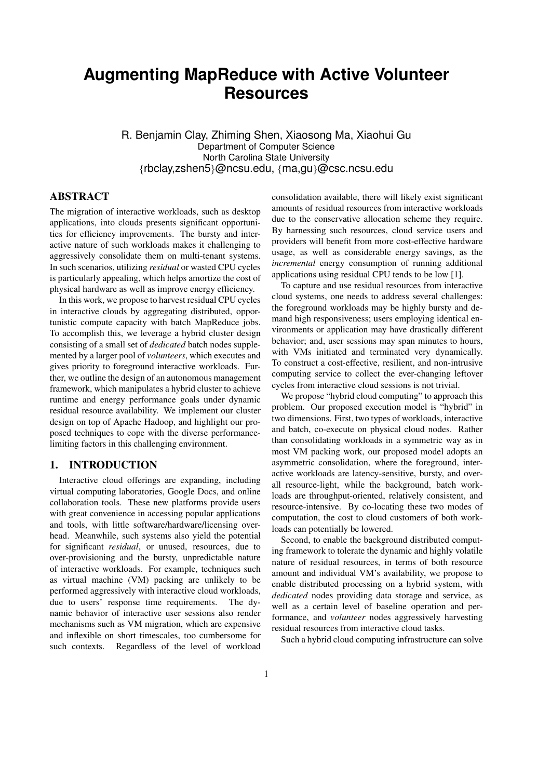# **Augmenting MapReduce with Active Volunteer Resources**

R. Benjamin Clay, Zhiming Shen, Xiaosong Ma, Xiaohui Gu Department of Computer Science North Carolina State University {rbclay,zshen5}@ncsu.edu, {ma,gu}@csc.ncsu.edu

## ABSTRACT

The migration of interactive workloads, such as desktop applications, into clouds presents significant opportunities for efficiency improvements. The bursty and interactive nature of such workloads makes it challenging to aggressively consolidate them on multi-tenant systems. In such scenarios, utilizing *residual* or wasted CPU cycles is particularly appealing, which helps amortize the cost of physical hardware as well as improve energy efficiency.

In this work, we propose to harvest residual CPU cycles in interactive clouds by aggregating distributed, opportunistic compute capacity with batch MapReduce jobs. To accomplish this, we leverage a hybrid cluster design consisting of a small set of *dedicated* batch nodes supplemented by a larger pool of *volunteers*, which executes and gives priority to foreground interactive workloads. Further, we outline the design of an autonomous management framework, which manipulates a hybrid cluster to achieve runtime and energy performance goals under dynamic residual resource availability. We implement our cluster design on top of Apache Hadoop, and highlight our proposed techniques to cope with the diverse performancelimiting factors in this challenging environment.

# 1. INTRODUCTION

Interactive cloud offerings are expanding, including virtual computing laboratories, Google Docs, and online collaboration tools. These new platforms provide users with great convenience in accessing popular applications and tools, with little software/hardware/licensing overhead. Meanwhile, such systems also yield the potential for significant *residual*, or unused, resources, due to over-provisioning and the bursty, unpredictable nature of interactive workloads. For example, techniques such as virtual machine (VM) packing are unlikely to be performed aggressively with interactive cloud workloads, due to users' response time requirements. The dynamic behavior of interactive user sessions also render mechanisms such as VM migration, which are expensive and inflexible on short timescales, too cumbersome for such contexts. Regardless of the level of workload

consolidation available, there will likely exist significant amounts of residual resources from interactive workloads due to the conservative allocation scheme they require. By harnessing such resources, cloud service users and providers will benefit from more cost-effective hardware usage, as well as considerable energy savings, as the *incremental* energy consumption of running additional applications using residual CPU tends to be low [1].

To capture and use residual resources from interactive cloud systems, one needs to address several challenges: the foreground workloads may be highly bursty and demand high responsiveness; users employing identical environments or application may have drastically different behavior; and, user sessions may span minutes to hours, with VMs initiated and terminated very dynamically. To construct a cost-effective, resilient, and non-intrusive computing service to collect the ever-changing leftover cycles from interactive cloud sessions is not trivial.

We propose "hybrid cloud computing" to approach this problem. Our proposed execution model is "hybrid" in two dimensions. First, two types of workloads, interactive and batch, co-execute on physical cloud nodes. Rather than consolidating workloads in a symmetric way as in most VM packing work, our proposed model adopts an asymmetric consolidation, where the foreground, interactive workloads are latency-sensitive, bursty, and overall resource-light, while the background, batch workloads are throughput-oriented, relatively consistent, and resource-intensive. By co-locating these two modes of computation, the cost to cloud customers of both workloads can potentially be lowered.

Second, to enable the background distributed computing framework to tolerate the dynamic and highly volatile nature of residual resources, in terms of both resource amount and individual VM's availability, we propose to enable distributed processing on a hybrid system, with *dedicated* nodes providing data storage and service, as well as a certain level of baseline operation and performance, and *volunteer* nodes aggressively harvesting residual resources from interactive cloud tasks.

Such a hybrid cloud computing infrastructure can solve